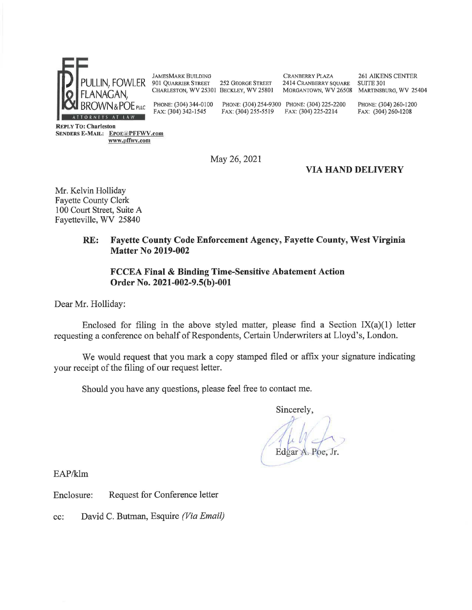

JAMESMARK BUILDING 901 QUARRIER STREET 252 GEORGE STREET

CHARLESTON, WV 25301 BECKLEY, WV 25801

CRANBERRY PLAZA 261 AIKENS CENTER 2414 CRANBERRY SQUARE SUITE 301 MORGANTOWN, WV 26508 MARTINSBURG, WV 25404

PHONE: (304) 344-0100 PHONE: (304) 254-9300 PHONE: (304) 225-2200 PHONE: (304) 260-1200 FAX: (304) 342-1545 FAX: (304) 255-5519 FAX: (304) 225-2214 FAX: (304) 260-1208

**REPLY To: Charleston SENDERS E-MAIL:** EPOE<sup>T</sup>PFFWV.com **www.pffwv.com** 

May 26, 2021

## **VIA HAND DELIVERY**

Mr. Kelvin Holliday Fayette County Clerk 100 Court Street, Suite A Fayetteville, WV 25840

### **RE: Fayette County Code Enforcement Agency, Fayette County, West Virginia Matter No 2019-002**

### **FCCEA Final** & **Binding Time-Sensitive Abatement Action Order No. 2021-002-9.S(b)-001**

Dear Mr. Holliday:

Enclosed for filing in the above styled matter, please find a Section  $IX(a)(1)$  letter requesting a conference on behalf of Respondents, Certain Underwriters at Lloyd's, London.

We would request that you mark a copy stamped filed or affix your signature indicating your receipt of the filing of our request letter.

Should you have any questions, please feel free to contact me.

Sincerely,

**Edgar A. Poe, Jr.**  $\cup$ 

EAP/klm

Enclosure: Request for Conference letter

cc: David C. Butman, Esquire *(Via Email)*